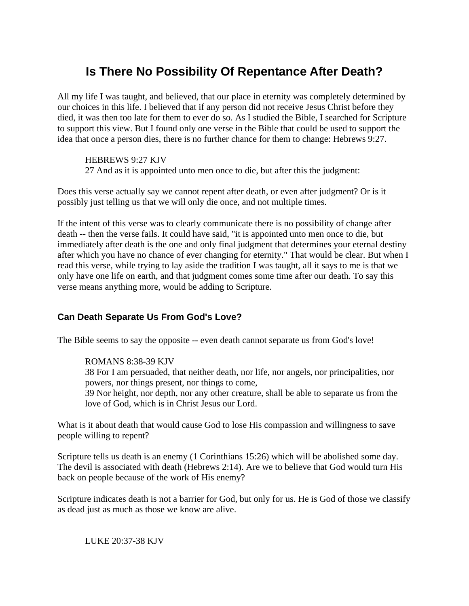# **Is There No Possibility Of Repentance After Death?**

All my life I was taught, and believed, that our place in eternity was completely determined by our choices in this life. I believed that if any person did not receive Jesus Christ before they died, it was then too late for them to ever do so. As I studied the Bible, I searched for Scripture to support this view. But I found only one verse in the Bible that could be used to support the idea that once a person dies, there is no further chance for them to change: Hebrews 9:27.

HEBREWS 9:27 KJV 27 And as it is appointed unto men once to die, but after this the judgment:

Does this verse actually say we cannot repent after death, or even after judgment? Or is it possibly just telling us that we will only die once, and not multiple times.

If the intent of this verse was to clearly communicate there is no possibility of change after death -- then the verse fails. It could have said, "it is appointed unto men once to die, but immediately after death is the one and only final judgment that determines your eternal destiny after which you have no chance of ever changing for eternity." That would be clear. But when I read this verse, while trying to lay aside the tradition I was taught, all it says to me is that we only have one life on earth, and that judgment comes some time after our death. To say this verse means anything more, would be adding to Scripture.

## **Can Death Separate Us From God's Love?**

The Bible seems to say the opposite -- even death cannot separate us from God's love!

## ROMANS 8:38-39 KJV

38 For I am persuaded, that neither death, nor life, nor angels, nor principalities, nor powers, nor things present, nor things to come,

39 Nor height, nor depth, nor any other creature, shall be able to separate us from the love of God, which is in Christ Jesus our Lord.

What is it about death that would cause God to lose His compassion and willingness to save people willing to repent?

Scripture tells us death is an enemy (1 Corinthians 15:26) which will be abolished some day. The devil is associated with death (Hebrews 2:14). Are we to believe that God would turn His back on people because of the work of His enemy?

Scripture indicates death is not a barrier for God, but only for us. He is God of those we classify as dead just as much as those we know are alive.

LUKE 20:37-38 KJV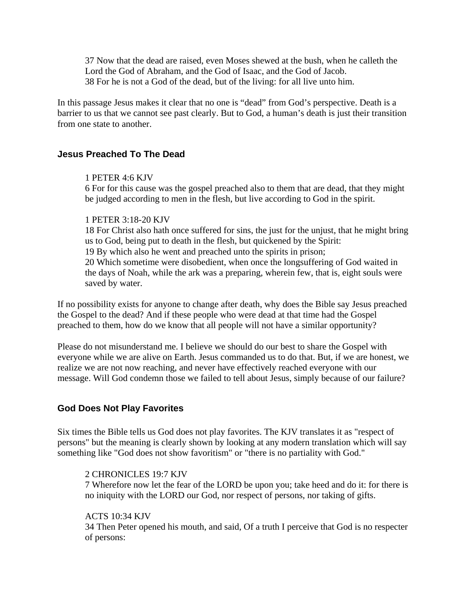37 Now that the dead are raised, even Moses shewed at the bush, when he calleth the Lord the God of Abraham, and the God of Isaac, and the God of Jacob. 38 For he is not a God of the dead, but of the living: for all live unto him.

In this passage Jesus makes it clear that no one is "dead" from God's perspective. Death is a barrier to us that we cannot see past clearly. But to God, a human's death is just their transition from one state to another.

## **Jesus Preached To The Dead**

#### 1 PETER 4:6 KJV

6 For for this cause was the gospel preached also to them that are dead, that they might be judged according to men in the flesh, but live according to God in the spirit.

#### 1 PETER 3:18-20 KJV

18 For Christ also hath once suffered for sins, the just for the unjust, that he might bring us to God, being put to death in the flesh, but quickened by the Spirit: 19 By which also he went and preached unto the spirits in prison; 20 Which sometime were disobedient, when once the longsuffering of God waited in the days of Noah, while the ark was a preparing, wherein few, that is, eight souls were saved by water.

If no possibility exists for anyone to change after death, why does the Bible say Jesus preached the Gospel to the dead? And if these people who were dead at that time had the Gospel preached to them, how do we know that all people will not have a similar opportunity?

Please do not misunderstand me. I believe we should do our best to share the Gospel with everyone while we are alive on Earth. Jesus commanded us to do that. But, if we are honest, we realize we are not now reaching, and never have effectively reached everyone with our message. Will God condemn those we failed to tell about Jesus, simply because of our failure?

## **God Does Not Play Favorites**

Six times the Bible tells us God does not play favorites. The KJV translates it as "respect of persons" but the meaning is clearly shown by looking at any modern translation which will say something like "God does not show favoritism" or "there is no partiality with God."

## 2 CHRONICLES 19:7 KJV

7 Wherefore now let the fear of the LORD be upon you; take heed and do it: for there is no iniquity with the LORD our God, nor respect of persons, nor taking of gifts.

## ACTS 10:34 KJV

34 Then Peter opened his mouth, and said, Of a truth I perceive that God is no respecter of persons: